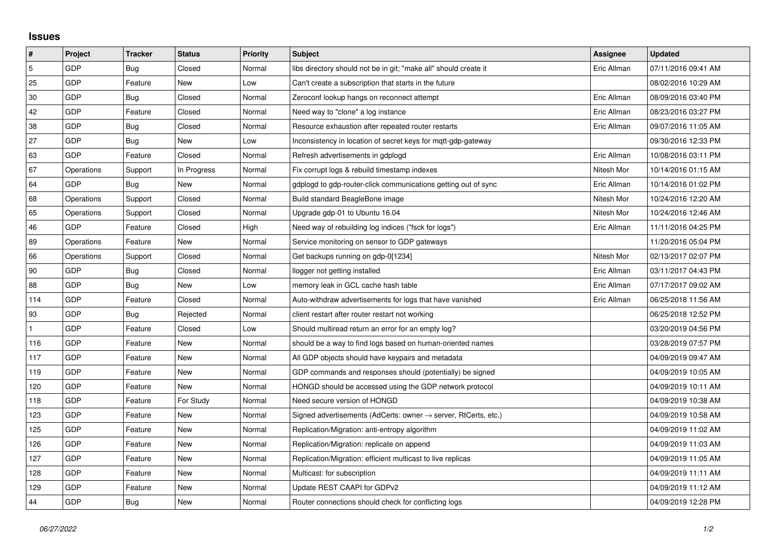## **Issues**

| $\vert$ #      | Project    | <b>Tracker</b> | <b>Status</b> | <b>Priority</b> | <b>Subject</b>                                                             | <b>Assignee</b> | <b>Updated</b>      |
|----------------|------------|----------------|---------------|-----------------|----------------------------------------------------------------------------|-----------------|---------------------|
| $\overline{5}$ | GDP        | Bug            | Closed        | Normal          | libs directory should not be in git; "make all" should create it           | Eric Allman     | 07/11/2016 09:41 AM |
| 25             | GDP        | Feature        | New           | Low             | Can't create a subscription that starts in the future                      |                 | 08/02/2016 10:29 AM |
| 30             | GDP        | Bug            | Closed        | Normal          | Zeroconf lookup hangs on reconnect attempt                                 | Eric Allman     | 08/09/2016 03:40 PM |
| 42             | GDP        | Feature        | Closed        | Normal          | Need way to "clone" a log instance                                         | Eric Allman     | 08/23/2016 03:27 PM |
| 38             | GDP        | Bug            | Closed        | Normal          | Resource exhaustion after repeated router restarts                         | Eric Allman     | 09/07/2016 11:05 AM |
| 27             | GDP        | Bug            | New           | Low             | Inconsistency in location of secret keys for mgtt-gdp-gateway              |                 | 09/30/2016 12:33 PM |
| 63             | GDP        | Feature        | Closed        | Normal          | Refresh advertisements in gdplogd                                          | Eric Allman     | 10/08/2016 03:11 PM |
| 67             | Operations | Support        | In Progress   | Normal          | Fix corrupt logs & rebuild timestamp indexes                               | Nitesh Mor      | 10/14/2016 01:15 AM |
| 64             | <b>GDP</b> | Bug            | New           | Normal          | gdplogd to gdp-router-click communications getting out of sync             | Eric Allman     | 10/14/2016 01:02 PM |
| 68             | Operations | Support        | Closed        | Normal          | Build standard BeagleBone image                                            | Nitesh Mor      | 10/24/2016 12:20 AM |
| 65             | Operations | Support        | Closed        | Normal          | Upgrade gdp-01 to Ubuntu 16.04                                             | Nitesh Mor      | 10/24/2016 12:46 AM |
| 46             | <b>GDP</b> | Feature        | Closed        | High            | Need way of rebuilding log indices ("fsck for logs")                       | Eric Allman     | 11/11/2016 04:25 PM |
| 89             | Operations | Feature        | New           | Normal          | Service monitoring on sensor to GDP gateways                               |                 | 11/20/2016 05:04 PM |
| 66             | Operations | Support        | Closed        | Normal          | Get backups running on gdp-0[1234]                                         | Nitesh Mor      | 02/13/2017 02:07 PM |
| 90             | GDP        | Bug            | Closed        | Normal          | llogger not getting installed                                              | Eric Allman     | 03/11/2017 04:43 PM |
| 88             | GDP        | Bug            | New           | Low             | memory leak in GCL cache hash table                                        | Eric Allman     | 07/17/2017 09:02 AM |
| 114            | GDP        | Feature        | Closed        | Normal          | Auto-withdraw advertisements for logs that have vanished                   | Eric Allman     | 06/25/2018 11:56 AM |
| 93             | GDP        | Bug            | Rejected      | Normal          | client restart after router restart not working                            |                 | 06/25/2018 12:52 PM |
|                | GDP        | Feature        | Closed        | Low             | Should multiread return an error for an empty log?                         |                 | 03/20/2019 04:56 PM |
| 116            | GDP        | Feature        | New           | Normal          | should be a way to find logs based on human-oriented names                 |                 | 03/28/2019 07:57 PM |
| 117            | GDP        | Feature        | New           | Normal          | All GDP objects should have keypairs and metadata                          |                 | 04/09/2019 09:47 AM |
| 119            | GDP        | Feature        | New           | Normal          | GDP commands and responses should (potentially) be signed                  |                 | 04/09/2019 10:05 AM |
| 120            | GDP        | Feature        | New           | Normal          | HONGD should be accessed using the GDP network protocol                    |                 | 04/09/2019 10:11 AM |
| 118            | GDP        | Feature        | For Study     | Normal          | Need secure version of HONGD                                               |                 | 04/09/2019 10:38 AM |
| 123            | GDP        | Feature        | <b>New</b>    | Normal          | Signed advertisements (AdCerts: owner $\rightarrow$ server, RtCerts, etc.) |                 | 04/09/2019 10:58 AM |
| 125            | GDP        | Feature        | New           | Normal          | Replication/Migration: anti-entropy algorithm                              |                 | 04/09/2019 11:02 AM |
| 126            | GDP        | Feature        | New           | Normal          | Replication/Migration: replicate on append                                 |                 | 04/09/2019 11:03 AM |
| 127            | GDP        | Feature        | New           | Normal          | Replication/Migration: efficient multicast to live replicas                |                 | 04/09/2019 11:05 AM |
| 128            | GDP        | Feature        | New           | Normal          | Multicast: for subscription                                                |                 | 04/09/2019 11:11 AM |
| 129            | GDP        | Feature        | New           | Normal          | Update REST CAAPI for GDPv2                                                |                 | 04/09/2019 11:12 AM |
| 44             | GDP        | Bug            | <b>New</b>    | Normal          | Router connections should check for conflicting logs                       |                 | 04/09/2019 12:28 PM |